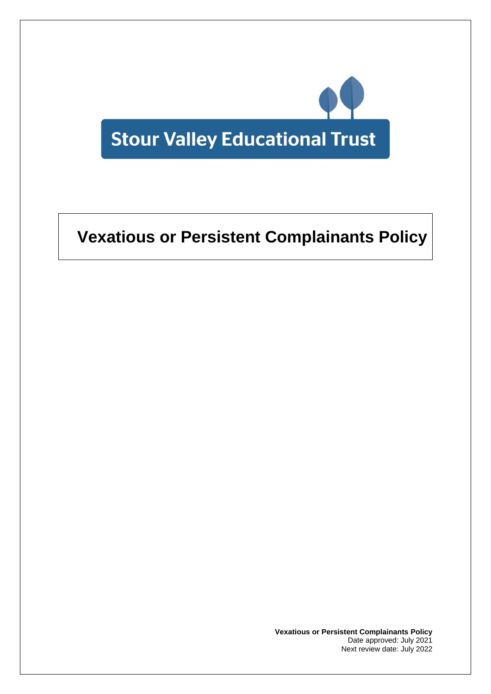

# **Vexatious or Persistent Complainants Policy**

**Vexatious or Persistent Complainants Policy** Date approved: July 2021 Next review date: July 2022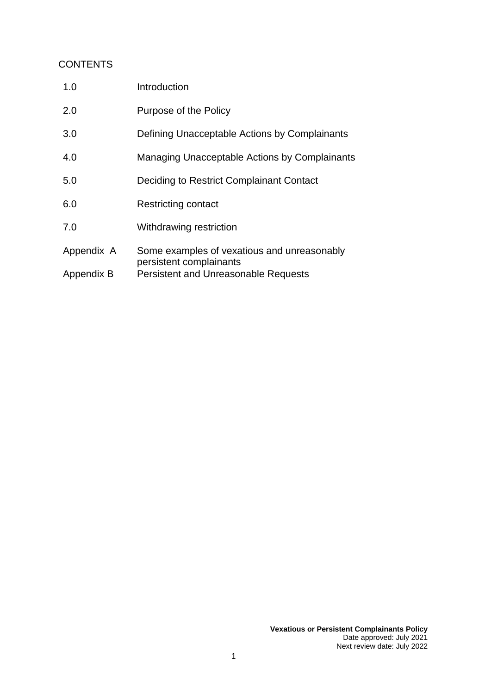# **CONTENTS**

| 1.0        | Introduction                                                           |
|------------|------------------------------------------------------------------------|
| 2.0        | Purpose of the Policy                                                  |
| 3.0        | Defining Unacceptable Actions by Complainants                          |
| 4.0        | Managing Unacceptable Actions by Complainants                          |
| 5.0        | Deciding to Restrict Complainant Contact                               |
| 6.0        | Restricting contact                                                    |
| 7.0        | Withdrawing restriction                                                |
| Appendix A | Some examples of vexatious and unreasonably<br>persistent complainants |
| Appendix B | <b>Persistent and Unreasonable Requests</b>                            |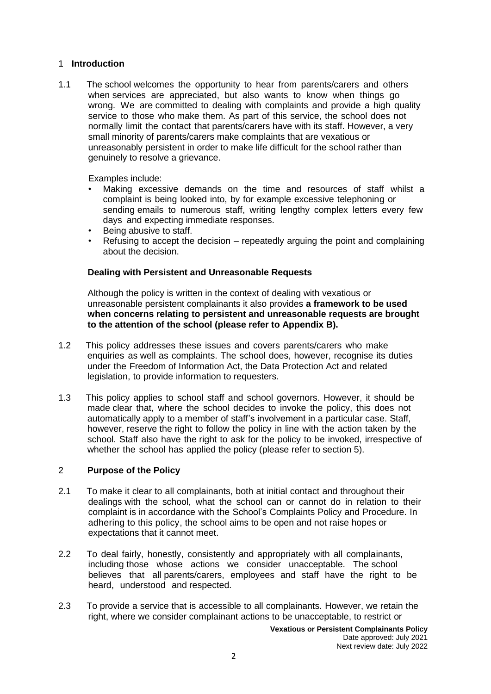### 1 **Introduction**

1.1 The school welcomes the opportunity to hear from parents/carers and others when services are appreciated, but also wants to know when things go wrong. We are committed to dealing with complaints and provide a high quality service to those who make them. As part of this service, the school does not normally limit the contact that parents/carers have with its staff. However, a very small minority of parents/carers make complaints that are vexatious or unreasonably persistent in order to make life difficult for the school rather than genuinely to resolve a grievance.

Examples include:

- Making excessive demands on the time and resources of staff whilst a complaint is being looked into, by for example excessive telephoning or sending emails to numerous staff, writing lengthy complex letters every few days and expecting immediate responses.
- Being abusive to staff.
- Refusing to accept the decision repeatedly arguing the point and complaining about the decision.

#### **Dealing with Persistent and Unreasonable Requests**

Although the policy is written in the context of dealing with vexatious or unreasonable persistent complainants it also provides **a framework to be used when concerns relating to persistent and unreasonable requests are brought to the attention of the school (please refer to Appendix B).**

- 1.2 This policy addresses these issues and covers parents/carers who make enquiries as well as complaints. The school does, however, recognise its duties under the Freedom of Information Act, the Data Protection Act and related legislation, to provide information to requesters.
- 1.3 This policy applies to school staff and school governors. However, it should be made clear that, where the school decides to invoke the policy, this does not automatically apply to a member of staff's involvement in a particular case. Staff, however, reserve the right to follow the policy in line with the action taken by the school. Staff also have the right to ask for the policy to be invoked, irrespective of whether the school has applied the policy (please refer to section 5).

#### 2 **Purpose of the Policy**

- 2.1 To make it clear to all complainants, both at initial contact and throughout their dealings with the school, what the school can or cannot do in relation to their complaint is in accordance with the School's Complaints Policy and Procedure. In adhering to this policy, the school aims to be open and not raise hopes or expectations that it cannot meet.
- 2.2 To deal fairly, honestly, consistently and appropriately with all complainants, including those whose actions we consider unacceptable. The school believes that all parents/carers, employees and staff have the right to be heard, understood and respected.
- 2.3 To provide a service that is accessible to all complainants. However, we retain the right, where we consider complainant actions to be unacceptable, to restrict or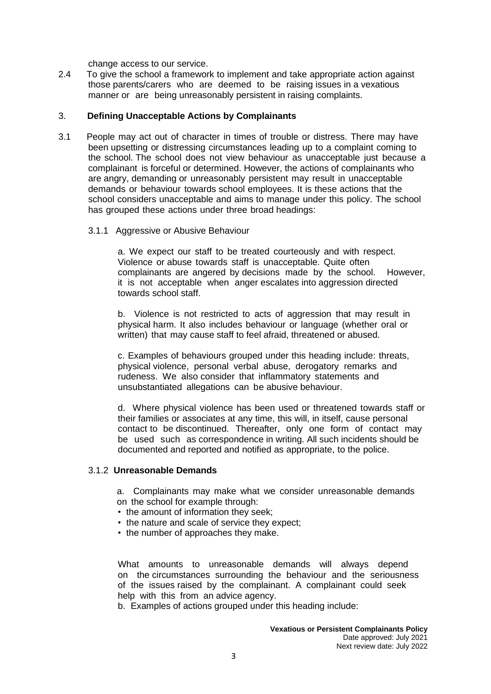change access to our service.

2.4 To give the school a framework to implement and take appropriate action against those parents/carers who are deemed to be raising issues in a vexatious manner or are being unreasonably persistent in raising complaints.

#### 3. **Defining Unacceptable Actions by Complainants**

- 3.1 People may act out of character in times of trouble or distress. There may have been upsetting or distressing circumstances leading up to a complaint coming to the school. The school does not view behaviour as unacceptable just because a complainant is forceful or determined. However, the actions of complainants who are angry, demanding or unreasonably persistent may result in unacceptable demands or behaviour towards school employees. It is these actions that the school considers unacceptable and aims to manage under this policy. The school has grouped these actions under three broad headings:
	- 3.1.1 Aggressive or Abusive Behaviour

a. We expect our staff to be treated courteously and with respect. Violence or abuse towards staff is unacceptable. Quite often complainants are angered by decisions made by the school. However, it is not acceptable when anger escalates into aggression directed towards school staff.

b. Violence is not restricted to acts of aggression that may result in physical harm. It also includes behaviour or language (whether oral or written) that may cause staff to feel afraid, threatened or abused.

c. Examples of behaviours grouped under this heading include: threats, physical violence, personal verbal abuse, derogatory remarks and rudeness. We also consider that inflammatory statements and unsubstantiated allegations can be abusive behaviour.

d. Where physical violence has been used or threatened towards staff or their families or associates at any time, this will, in itself, cause personal contact to be discontinued. Thereafter, only one form of contact may be used such as correspondence in writing. All such incidents should be documented and reported and notified as appropriate, to the police.

#### 3.1.2 **Unreasonable Demands**

a. Complainants may make what we consider unreasonable demands on the school for example through:

- the amount of information they seek;
- the nature and scale of service they expect;
- the number of approaches they make.

What amounts to unreasonable demands will always depend on the circumstances surrounding the behaviour and the seriousness of the issues raised by the complainant. A complainant could seek help with this from an advice agency.

b. Examples of actions grouped under this heading include: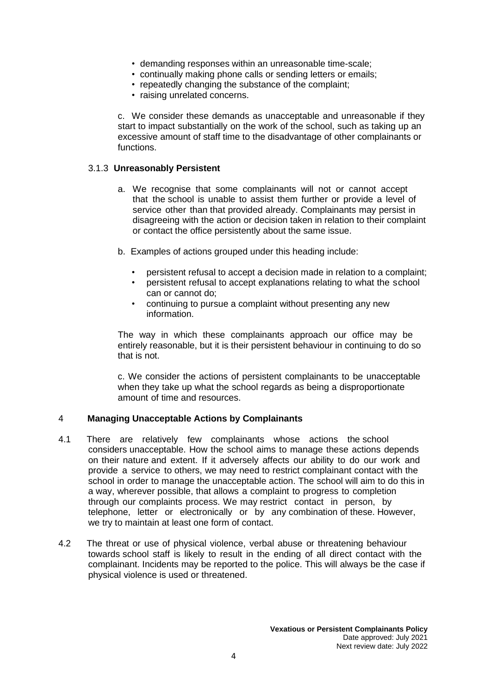- demanding responses within an unreasonable time-scale;
- continually making phone calls or sending letters or emails;
- repeatedly changing the substance of the complaint;
- raising unrelated concerns.

c. We consider these demands as unacceptable and unreasonable if they start to impact substantially on the work of the school, such as taking up an excessive amount of staff time to the disadvantage of other complainants or functions.

#### 3.1.3 **Unreasonably Persistent**

- a. We recognise that some complainants will not or cannot accept that the school is unable to assist them further or provide a level of service other than that provided already. Complainants may persist in disagreeing with the action or decision taken in relation to their complaint or contact the office persistently about the same issue.
- b. Examples of actions grouped under this heading include:
	- persistent refusal to accept a decision made in relation to a complaint;
	- persistent refusal to accept explanations relating to what the school can or cannot do;
	- continuing to pursue a complaint without presenting any new information.

The way in which these complainants approach our office may be entirely reasonable, but it is their persistent behaviour in continuing to do so that is not.

c. We consider the actions of persistent complainants to be unacceptable when they take up what the school regards as being a disproportionate amount of time and resources.

#### 4 **Managing Unacceptable Actions by Complainants**

- 4.1 There are relatively few complainants whose actions the school considers unacceptable. How the school aims to manage these actions depends on their nature and extent. If it adversely affects our ability to do our work and provide a service to others, we may need to restrict complainant contact with the school in order to manage the unacceptable action. The school will aim to do this in a way, wherever possible, that allows a complaint to progress to completion through our complaints process. We may restrict contact in person, by telephone, letter or electronically or by any combination of these. However, we try to maintain at least one form of contact.
- 4.2 The threat or use of physical violence, verbal abuse or threatening behaviour towards school staff is likely to result in the ending of all direct contact with the complainant. Incidents may be reported to the police. This will always be the case if physical violence is used or threatened.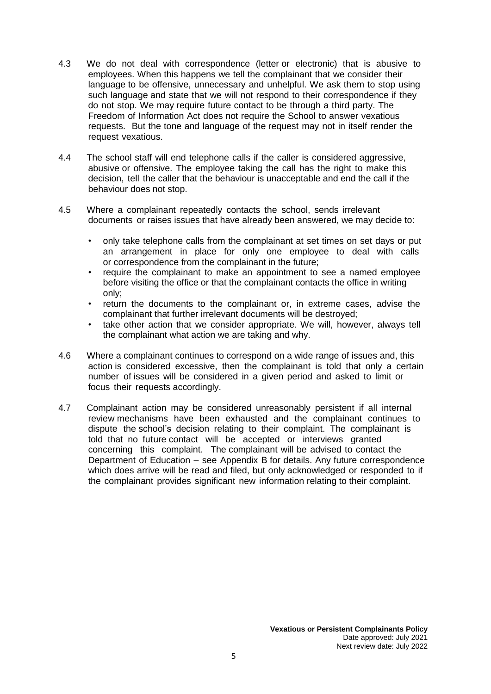- 4.3 We do not deal with correspondence (letter or electronic) that is abusive to employees. When this happens we tell the complainant that we consider their language to be offensive, unnecessary and unhelpful. We ask them to stop using such language and state that we will not respond to their correspondence if they do not stop. We may require future contact to be through a third party. The Freedom of Information Act does not require the School to answer vexatious requests. But the tone and language of the request may not in itself render the request vexatious.
- 4.4 The school staff will end telephone calls if the caller is considered aggressive, abusive or offensive. The employee taking the call has the right to make this decision, tell the caller that the behaviour is unacceptable and end the call if the behaviour does not stop.
- 4.5 Where a complainant repeatedly contacts the school, sends irrelevant documents or raises issues that have already been answered, we may decide to:
	- only take telephone calls from the complainant at set times on set days or put an arrangement in place for only one employee to deal with calls or correspondence from the complainant in the future;
	- require the complainant to make an appointment to see a named employee before visiting the office or that the complainant contacts the office in writing only;
	- return the documents to the complainant or, in extreme cases, advise the complainant that further irrelevant documents will be destroyed;
	- take other action that we consider appropriate. We will, however, always tell the complainant what action we are taking and why.
- 4.6 Where a complainant continues to correspond on a wide range of issues and, this action is considered excessive, then the complainant is told that only a certain number of issues will be considered in a given period and asked to limit or focus their requests accordingly.
- 4.7 Complainant action may be considered unreasonably persistent if all internal review mechanisms have been exhausted and the complainant continues to dispute the school's decision relating to their complaint. The complainant is told that no future contact will be accepted or interviews granted concerning this complaint. The complainant will be advised to contact the Department of Education – see Appendix B for details. Any future correspondence which does arrive will be read and filed, but only acknowledged or responded to if the complainant provides significant new information relating to their complaint.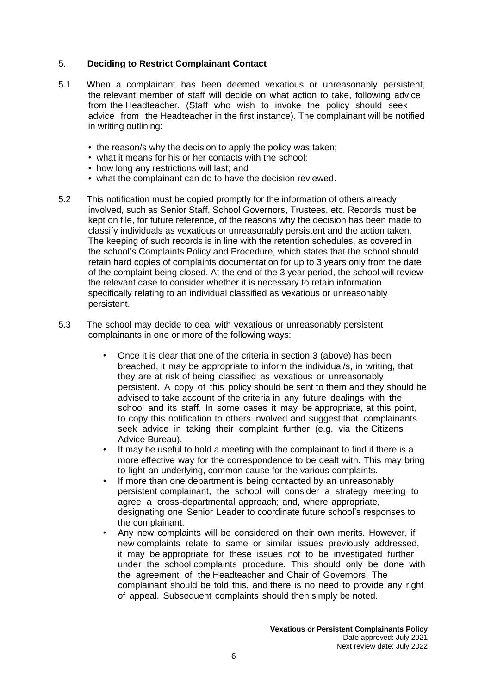## 5. **Deciding to Restrict Complainant Contact**

- 5.1 When a complainant has been deemed vexatious or unreasonably persistent, the relevant member of staff will decide on what action to take, following advice from the Headteacher. (Staff who wish to invoke the policy should seek advice from the Headteacher in the first instance). The complainant will be notified in writing outlining:
	- the reason/s why the decision to apply the policy was taken;
	- what it means for his or her contacts with the school;
	- how long any restrictions will last; and
	- what the complainant can do to have the decision reviewed.
- 5.2 This notification must be copied promptly for the information of others already involved, such as Senior Staff, School Governors, Trustees, etc. Records must be kept on file, for future reference, of the reasons why the decision has been made to classify individuals as vexatious or unreasonably persistent and the action taken. The keeping of such records is in line with the retention schedules, as covered in the school's Complaints Policy and Procedure, which states that the school should retain hard copies of complaints documentation for up to 3 years only from the date of the complaint being closed. At the end of the 3 year period, the school will review the relevant case to consider whether it is necessary to retain information specifically relating to an individual classified as vexatious or unreasonably persistent.
- 5.3 The school may decide to deal with vexatious or unreasonably persistent complainants in one or more of the following ways:
	- Once it is clear that one of the criteria in section 3 (above) has been breached, it may be appropriate to inform the individual/s, in writing, that they are at risk of being classified as vexatious or unreasonably persistent. A copy of this policy should be sent to them and they should be advised to take account of the criteria in any future dealings with the school and its staff. In some cases it may be appropriate, at this point, to copy this notification to others involved and suggest that complainants seek advice in taking their complaint further (e.g. via the Citizens Advice Bureau).
	- It may be useful to hold a meeting with the complainant to find if there is a more effective way for the correspondence to be dealt with. This may bring to light an underlying, common cause for the various complaints.
	- If more than one department is being contacted by an unreasonably persistent complainant, the school will consider a strategy meeting to agree a cross-departmental approach; and, where appropriate, designating one Senior Leader to coordinate future school's responses to the complainant.
	- Any new complaints will be considered on their own merits. However, if new complaints relate to same or similar issues previously addressed, it may be appropriate for these issues not to be investigated further under the school complaints procedure. This should only be done with the agreement of the Headteacher and Chair of Governors. The complainant should be told this, and there is no need to provide any right of appeal. Subsequent complaints should then simply be noted.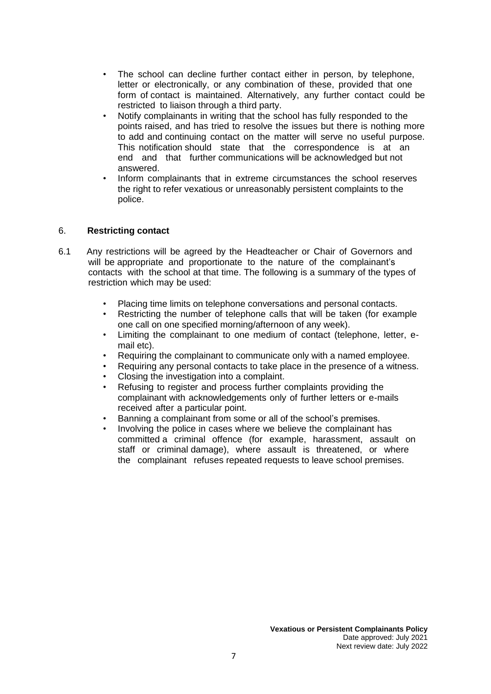- The school can decline further contact either in person, by telephone, letter or electronically, or any combination of these, provided that one form of contact is maintained. Alternatively, any further contact could be restricted to liaison through a third party.
- Notify complainants in writing that the school has fully responded to the points raised, and has tried to resolve the issues but there is nothing more to add and continuing contact on the matter will serve no useful purpose. This notification should state that the correspondence is at an end and that further communications will be acknowledged but not answered.
- Inform complainants that in extreme circumstances the school reserves the right to refer vexatious or unreasonably persistent complaints to the police.

# 6. **Restricting contact**

- 6.1 Any restrictions will be agreed by the Headteacher or Chair of Governors and will be appropriate and proportionate to the nature of the complainant's contacts with the school at that time. The following is a summary of the types of restriction which may be used:
	- Placing time limits on telephone conversations and personal contacts.
	- Restricting the number of telephone calls that will be taken (for example one call on one specified morning/afternoon of any week).
	- Limiting the complainant to one medium of contact (telephone, letter, email etc).
	- Requiring the complainant to communicate only with a named employee.
	- Requiring any personal contacts to take place in the presence of a witness.
	- Closing the investigation into a complaint.
	- Refusing to register and process further complaints providing the complainant with acknowledgements only of further letters or e-mails received after a particular point.
	- Banning a complainant from some or all of the school's premises.
	- Involving the police in cases where we believe the complainant has committed a criminal offence (for example, harassment, assault on staff or criminal damage), where assault is threatened, or where the complainant refuses repeated requests to leave school premises.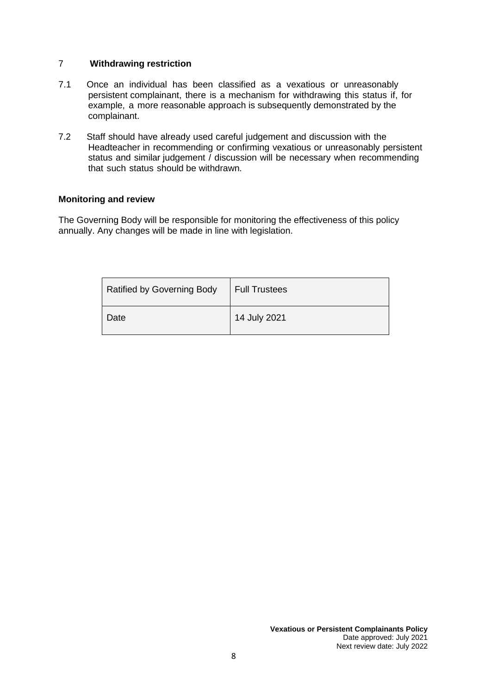### 7 **Withdrawing restriction**

- 7.1 Once an individual has been classified as a vexatious or unreasonably persistent complainant, there is a mechanism for withdrawing this status if, for example, a more reasonable approach is subsequently demonstrated by the complainant.
- 7.2 Staff should have already used careful judgement and discussion with the Headteacher in recommending or confirming vexatious or unreasonably persistent status and similar judgement / discussion will be necessary when recommending that such status should be withdrawn.

#### **Monitoring and review**

The Governing Body will be responsible for monitoring the effectiveness of this policy annually. Any changes will be made in line with legislation.

| <b>Ratified by Governing Body</b> | Full Trustees |
|-----------------------------------|---------------|
| Date                              | 14 July 2021  |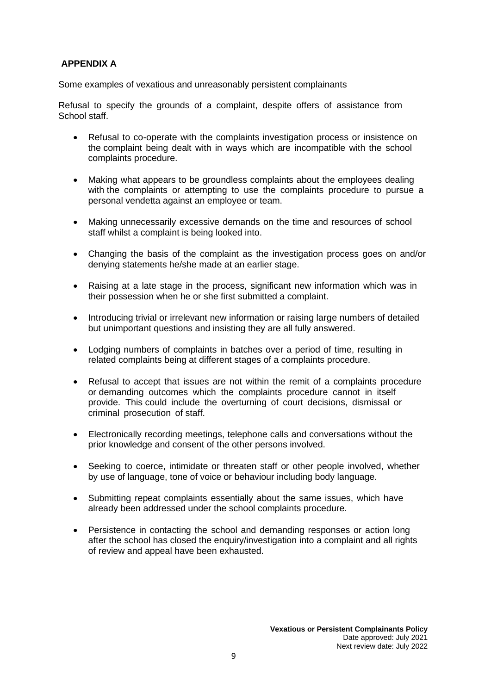# **APPENDIX A**

Some examples of vexatious and unreasonably persistent complainants

Refusal to specify the grounds of a complaint, despite offers of assistance from School staff.

- Refusal to co-operate with the complaints investigation process or insistence on the complaint being dealt with in ways which are incompatible with the school complaints procedure.
- Making what appears to be groundless complaints about the employees dealing with the complaints or attempting to use the complaints procedure to pursue a personal vendetta against an employee or team.
- Making unnecessarily excessive demands on the time and resources of school staff whilst a complaint is being looked into.
- Changing the basis of the complaint as the investigation process goes on and/or denying statements he/she made at an earlier stage.
- Raising at a late stage in the process, significant new information which was in their possession when he or she first submitted a complaint.
- Introducing trivial or irrelevant new information or raising large numbers of detailed but unimportant questions and insisting they are all fully answered.
- Lodging numbers of complaints in batches over a period of time, resulting in related complaints being at different stages of a complaints procedure.
- Refusal to accept that issues are not within the remit of a complaints procedure or demanding outcomes which the complaints procedure cannot in itself provide. This could include the overturning of court decisions, dismissal or criminal prosecution of staff.
- Electronically recording meetings, telephone calls and conversations without the prior knowledge and consent of the other persons involved.
- Seeking to coerce, intimidate or threaten staff or other people involved, whether by use of language, tone of voice or behaviour including body language.
- Submitting repeat complaints essentially about the same issues, which have already been addressed under the school complaints procedure.
- Persistence in contacting the school and demanding responses or action long after the school has closed the enquiry/investigation into a complaint and all rights of review and appeal have been exhausted.